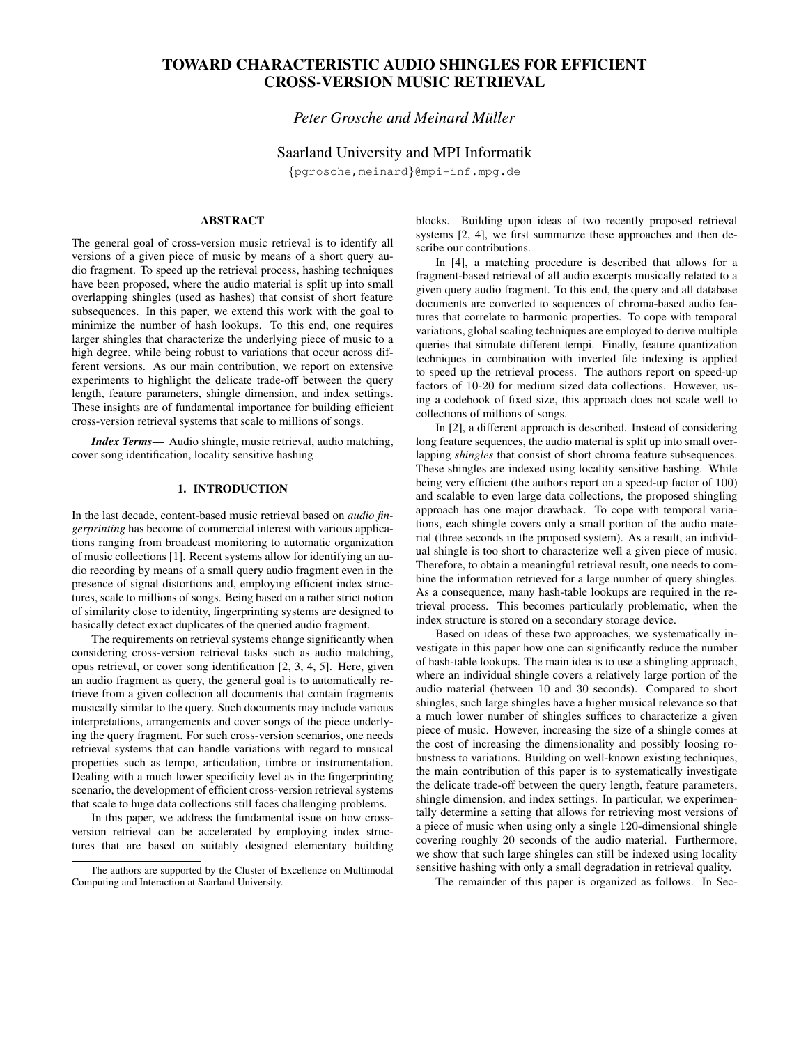# **TOWARD CHARACTERISTIC AUDIO SHINGLES FOR EFFICIENT CROSS-VERSION MUSIC RETRIEVAL**

# *Peter Grosche and Meinard Muller ¨*

# Saarland University and MPI Informatik

{pgrosche,meinard}@mpi-inf.mpg.de

# **ABSTRACT**

The general goal of cross-version music retrieval is to identify all versions of a given piece of music by means of a short query audio fragment. To speed up the retrieval process, hashing techniques have been proposed, where the audio material is split up into small overlapping shingles (used as hashes) that consist of short feature subsequences. In this paper, we extend this work with the goal to minimize the number of hash lookups. To this end, one requires larger shingles that characterize the underlying piece of music to a high degree, while being robust to variations that occur across different versions. As our main contribution, we report on extensive experiments to highlight the delicate trade-off between the query length, feature parameters, shingle dimension, and index settings. These insights are of fundamental importance for building efficient cross-version retrieval systems that scale to millions of songs.

*Index Terms***—** Audio shingle, music retrieval, audio matching, cover song identification, locality sensitive hashing

# **1. INTRODUCTION**

In the last decade, content-based music retrieval based on *audio fingerprinting* has become of commercial interest with various applications ranging from broadcast monitoring to automatic organization of music collections [1]. Recent systems allow for identifying an audio recording by means of a small query audio fragment even in the presence of signal distortions and, employing efficient index structures, scale to millions of songs. Being based on a rather strict notion of similarity close to identity, fingerprinting systems are designed to basically detect exact duplicates of the queried audio fragment.

The requirements on retrieval systems change significantly when considering cross-version retrieval tasks such as audio matching, opus retrieval, or cover song identification [2, 3, 4, 5]. Here, given an audio fragment as query, the general goal is to automatically retrieve from a given collection all documents that contain fragments musically similar to the query. Such documents may include various interpretations, arrangements and cover songs of the piece underlying the query fragment. For such cross-version scenarios, one needs retrieval systems that can handle variations with regard to musical properties such as tempo, articulation, timbre or instrumentation. Dealing with a much lower specificity level as in the fingerprinting scenario, the development of efficient cross-version retrieval systems that scale to huge data collections still faces challenging problems.

In this paper, we address the fundamental issue on how crossversion retrieval can be accelerated by employing index structures that are based on suitably designed elementary building blocks. Building upon ideas of two recently proposed retrieval systems [2, 4], we first summarize these approaches and then describe our contributions.

In [4], a matching procedure is described that allows for a fragment-based retrieval of all audio excerpts musically related to a given query audio fragment. To this end, the query and all database documents are converted to sequences of chroma-based audio features that correlate to harmonic properties. To cope with temporal variations, global scaling techniques are employed to derive multiple queries that simulate different tempi. Finally, feature quantization techniques in combination with inverted file indexing is applied to speed up the retrieval process. The authors report on speed-up factors of 10-20 for medium sized data collections. However, using a codebook of fixed size, this approach does not scale well to collections of millions of songs.

In [2], a different approach is described. Instead of considering long feature sequences, the audio material is split up into small overlapping *shingles* that consist of short chroma feature subsequences. These shingles are indexed using locality sensitive hashing. While being very efficient (the authors report on a speed-up factor of 100) and scalable to even large data collections, the proposed shingling approach has one major drawback. To cope with temporal variations, each shingle covers only a small portion of the audio material (three seconds in the proposed system). As a result, an individual shingle is too short to characterize well a given piece of music. Therefore, to obtain a meaningful retrieval result, one needs to combine the information retrieved for a large number of query shingles. As a consequence, many hash-table lookups are required in the retrieval process. This becomes particularly problematic, when the index structure is stored on a secondary storage device.

Based on ideas of these two approaches, we systematically investigate in this paper how one can significantly reduce the number of hash-table lookups. The main idea is to use a shingling approach, where an individual shingle covers a relatively large portion of the audio material (between 10 and 30 seconds). Compared to short shingles, such large shingles have a higher musical relevance so that a much lower number of shingles suffices to characterize a given piece of music. However, increasing the size of a shingle comes at the cost of increasing the dimensionality and possibly loosing robustness to variations. Building on well-known existing techniques, the main contribution of this paper is to systematically investigate the delicate trade-off between the query length, feature parameters, shingle dimension, and index settings. In particular, we experimentally determine a setting that allows for retrieving most versions of a piece of music when using only a single 120-dimensional shingle covering roughly 20 seconds of the audio material. Furthermore, we show that such large shingles can still be indexed using locality sensitive hashing with only a small degradation in retrieval quality.

The remainder of this paper is organized as follows. In Sec-

The authors are supported by the Cluster of Excellence on Multimodal Computing and Interaction at Saarland University.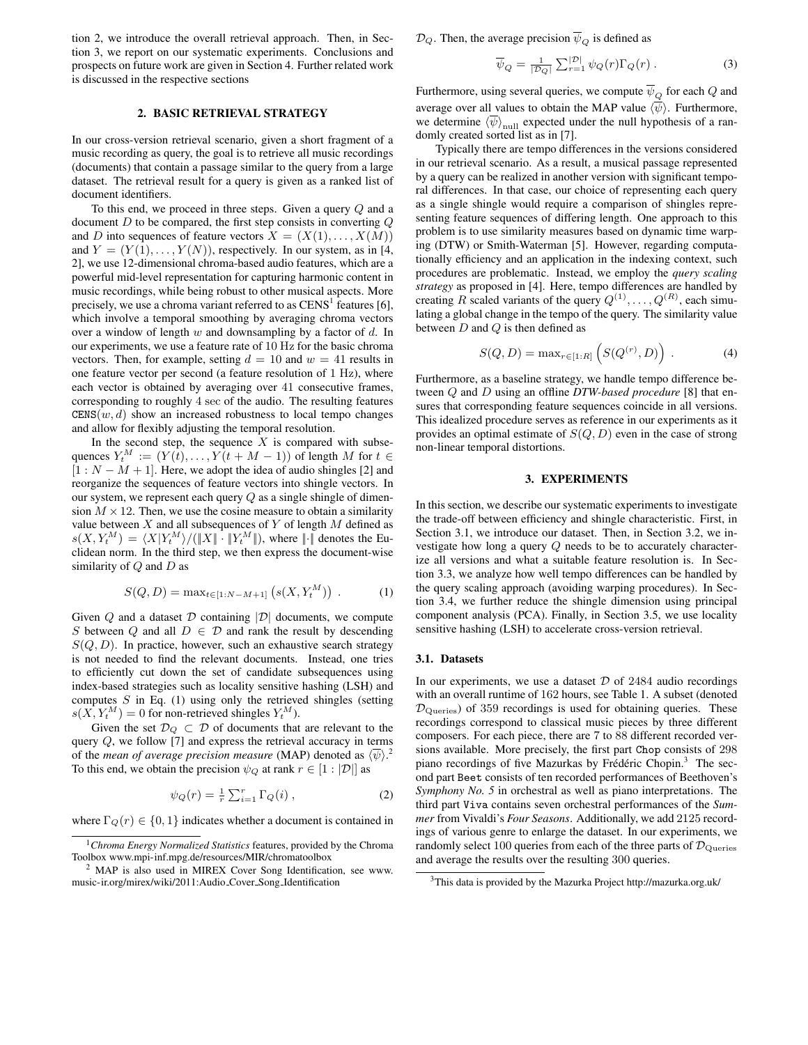tion 2, we introduce the overall retrieval approach. Then, in Section 3, we report on our systematic experiments. Conclusions and prospects on future work are given in Section 4. Further related work is discussed in the respective sections

#### **2. BASIC RETRIEVAL STRATEGY**

In our cross-version retrieval scenario, given a short fragment of a music recording as query, the goal is to retrieve all music recordings (documents) that contain a passage similar to the query from a large dataset. The retrieval result for a query is given as a ranked list of document identifiers.

To this end, we proceed in three steps. Given a query Q and a document  $D$  to be compared, the first step consists in converting  $Q$ and D into sequences of feature vectors  $X = (X(1), \ldots, X(M))$ and  $Y = (Y(1), \ldots, Y(N))$ , respectively. In our system, as in [4, 2], we use 12-dimensional chroma-based audio features, which are a powerful mid-level representation for capturing harmonic content in music recordings, while being robust to other musical aspects. More precisely, we use a chroma variant referred to as  $CENS<sup>1</sup>$  features [6], which involve a temporal smoothing by averaging chroma vectors over a window of length  $w$  and downsampling by a factor of  $d$ . In our experiments, we use a feature rate of 10 Hz for the basic chroma vectors. Then, for example, setting  $d = 10$  and  $w = 41$  results in one feature vector per second (a feature resolution of 1 Hz), where each vector is obtained by averaging over 41 consecutive frames, corresponding to roughly 4 sec of the audio. The resulting features  $CENS(w, d)$  show an increased robustness to local tempo changes and allow for flexibly adjusting the temporal resolution.

In the second step, the sequence  $X$  is compared with subsequences  $Y_t^M := (Y(t), \ldots, Y(t + M - 1))$  of length M for  $t \in$  $[1 : N - M + 1]$ . Here, we adopt the idea of audio shingles [2] and reorganize the sequences of feature vectors into shingle vectors. In our system, we represent each query  $Q$  as a single shingle of dimension  $M \times 12$ . Then, we use the cosine measure to obtain a similarity value between  $X$  and all subsequences of  $Y$  of length  $M$  defined as  $s(X, Y_t^M) = \langle X | Y_t^M \rangle / ( \| X \| \cdot \| Y_t^M \| )$ , where  $\| \cdot \|$  denotes the Euclidean norm. In the third step, we then express the document-wise similarity of  $Q$  and  $D$  as

$$
S(Q, D) = \max_{t \in [1:N-M+1]} (s(X, Y_t^M)) .
$$
 (1)

Given  $Q$  and a dataset  $D$  containing  $|D|$  documents, we compute S between  $Q$  and all  $D \in \mathcal{D}$  and rank the result by descending  $S(Q, D)$ . In practice, however, such an exhaustive search strategy is not needed to find the relevant documents. Instead, one tries to efficiently cut down the set of candidate subsequences using index-based strategies such as locality sensitive hashing (LSH) and computes  $S$  in Eq. (1) using only the retrieved shingles (setting  $s(X, Y_t^M) = 0$  for non-retrieved shingles  $Y_t^M$ ).

Given the set  $\mathcal{D}_Q \subset \mathcal{D}$  of documents that are relevant to the query Q, we follow [7] and express the retrieval accuracy in terms of the *mean of average precision measure* (MAP) denoted as  $\langle \overline{\psi} \rangle$ .<sup>2</sup> To this end, we obtain the precision  $\psi_Q$  at rank  $r \in [1 : |\mathcal{D}||]$  as

$$
\psi_Q(r) = \frac{1}{r} \sum_{i=1}^r \Gamma_Q(i) , \qquad (2)
$$

where  $\Gamma_Q(r) \in \{0, 1\}$  indicates whether a document is contained in

 $\mathcal{D}_Q$ . Then, the average precision  $\overline{\psi}_Q$  is defined as

$$
\overline{\psi}_Q = \frac{1}{|\mathcal{D}_Q|} \sum_{r=1}^{|\mathcal{D}|} \psi_Q(r) \Gamma_Q(r) . \tag{3}
$$

Furthermore, using several queries, we compute  $\overline{\psi}_Q$  for each Q and average over all values to obtain the MAP value  $\langle \overline{\psi} \rangle$ . Furthermore, we determine  $\langle \overline{\psi} \rangle_{\text{null}}$  expected under the null hypothesis of a randomly created sorted list as in [7].

Typically there are tempo differences in the versions considered in our retrieval scenario. As a result, a musical passage represented by a query can be realized in another version with significant temporal differences. In that case, our choice of representing each query as a single shingle would require a comparison of shingles representing feature sequences of differing length. One approach to this problem is to use similarity measures based on dynamic time warping (DTW) or Smith-Waterman [5]. However, regarding computationally efficiency and an application in the indexing context, such procedures are problematic. Instead, we employ the *query scaling strategy* as proposed in [4]. Here, tempo differences are handled by creating R scaled variants of the query  $Q^{(1)}, \ldots, Q^{(R)}$ , each simulating a global change in the tempo of the query. The similarity value between  $D$  and  $Q$  is then defined as

$$
S(Q, D) = \max_{r \in [1:R]} (S(Q^{(r)}, D)) .
$$
 (4)

Furthermore, as a baseline strategy, we handle tempo difference between Q and D using an offline *DTW-based procedure* [8] that ensures that corresponding feature sequences coincide in all versions. This idealized procedure serves as reference in our experiments as it provides an optimal estimate of  $S(Q, D)$  even in the case of strong non-linear temporal distortions.

#### **3. EXPERIMENTS**

In this section, we describe our systematic experiments to investigate the trade-off between efficiency and shingle characteristic. First, in Section 3.1, we introduce our dataset. Then, in Section 3.2, we investigate how long a query Q needs to be to accurately characterize all versions and what a suitable feature resolution is. In Section 3.3, we analyze how well tempo differences can be handled by the query scaling approach (avoiding warping procedures). In Section 3.4, we further reduce the shingle dimension using principal component analysis (PCA). Finally, in Section 3.5, we use locality sensitive hashing (LSH) to accelerate cross-version retrieval.

#### **3.1. Datasets**

In our experiments, we use a dataset  $D$  of 2484 audio recordings with an overall runtime of 162 hours, see Table 1. A subset (denoted  $\mathcal{D}_{\text{Queries}}$ ) of 359 recordings is used for obtaining queries. These recordings correspond to classical music pieces by three different composers. For each piece, there are 7 to 88 different recorded versions available. More precisely, the first part Chop consists of 298 piano recordings of five Mazurkas by Frédéric Chopin.<sup>3</sup> The second part Beet consists of ten recorded performances of Beethoven's *Symphony No. 5* in orchestral as well as piano interpretations. The third part Viva contains seven orchestral performances of the *Summer* from Vivaldi's *Four Seasons*. Additionally, we add 2125 recordings of various genre to enlarge the dataset. In our experiments, we randomly select 100 queries from each of the three parts of  $\mathcal{D}_{\text{Queries}}$ and average the results over the resulting 300 queries.

<sup>1</sup>*Chroma Energy Normalized Statistics* features, provided by the Chroma Toolbox www.mpi-inf.mpg.de/resources/MIR/chromatoolbox

<sup>2</sup> MAP is also used in MIREX Cover Song Identification, see www. music-ir.org/mirex/wiki/2011:Audio Cover Song Identification

<sup>3</sup>This data is provided by the Mazurka Project http://mazurka.org.uk/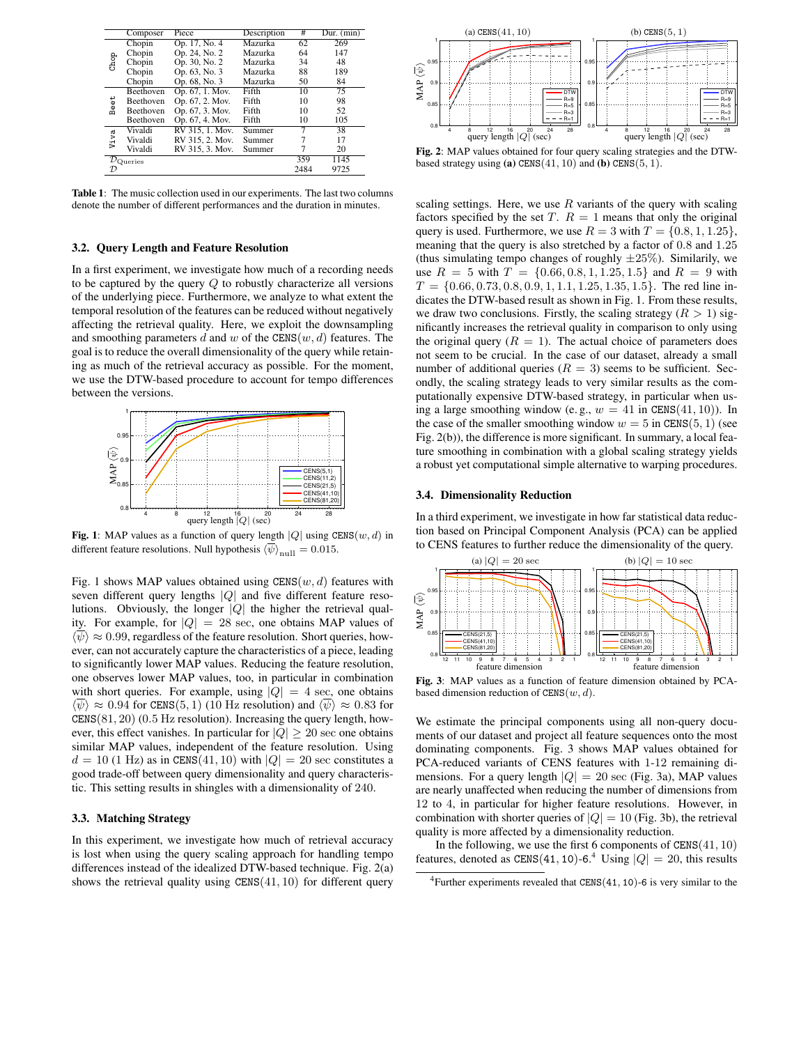|                                        | Composer         | Piece           | Description | $_{\#}$ | Dur. $(\overline{\text{min}})$ |
|----------------------------------------|------------------|-----------------|-------------|---------|--------------------------------|
| Chop                                   | Chopin           | Op. 17, No. 4   | Mazurka     | 62      | 269                            |
|                                        | Chopin           | Op. 24, No. 2   | Mazurka     | 64      | 147                            |
|                                        | Chopin           | Op. 30, No. 2   | Mazurka     | 34      | 48                             |
|                                        | Chopin           | Op. 63, No. 3   | Mazurka     | 88      | 189                            |
|                                        | Chopin           | Op. 68, No. 3   | Mazurka     | 50      | 84                             |
| Beet                                   | <b>Beethoven</b> | Op. 67, 1. Mov. | Fifth       | 10      | 75                             |
|                                        | Beethoven        | Op. 67, 2. Mov. | Fifth       | 10      | 98                             |
|                                        | <b>Beethoven</b> | Op. 67, 3. Mov. | Fifth       | 10      | 52                             |
|                                        | Beethoven        | Op. 67, 4. Mov. | Fifth       | 10      | 105                            |
| Viva                                   | Vivaldi          | RV 315, 1. Mov. | Summer      | 7       | 38                             |
|                                        | Vivaldi          | RV 315, 2. Mov. | Summer      | 7       | 17                             |
|                                        | Vivaldi          | RV 315, 3. Mov. | Summer      | 7       | 20                             |
| $\overline{\mathcal{D}_{\rm Queries}}$ |                  |                 |             | 359     | 1145                           |
| $\mathcal{D}$                          |                  |                 |             | 2484    | 9725                           |

**Table 1**: The music collection used in our experiments. The last two columns denote the number of different performances and the duration in minutes.

#### **3.2. Query Length and Feature Resolution**

In a first experiment, we investigate how much of a recording needs to be captured by the query  $Q$  to robustly characterize all versions of the underlying piece. Furthermore, we analyze to what extent the temporal resolution of the features can be reduced without negatively affecting the retrieval quality. Here, we exploit the downsampling and smoothing parameters d and w of the  $CENS(w, d)$  features. The goal is to reduce the overall dimensionality of the query while retaining as much of the retrieval accuracy as possible. For the moment, we use the DTW-based procedure to account for tempo differences between the versions.



**Fig. 1**: MAP values as a function of query length  $|Q|$  using  $CENS(w, d)$  in different feature resolutions. Null hypothesis  $\langle \overline{\psi} \rangle$ <sub>null</sub> = 0.015.

Fig. 1 shows MAP values obtained using  $CENS(w, d)$  features with seven different query lengths  $|Q|$  and five different feature resolutions. Obviously, the longer  $|Q|$  the higher the retrieval quality. For example, for  $|Q| = 28$  sec, one obtains MAP values of  $\langle \overline{\psi} \rangle \approx 0.99$ , regardless of the feature resolution. Short queries, however, can not accurately capture the characteristics of a piece, leading to significantly lower MAP values. Reducing the feature resolution, one observes lower MAP values, too, in particular in combination with short queries. For example, using  $|Q| = 4$  sec, one obtains  $\langle \psi \rangle \approx 0.94$  for CENS(5, 1) (10 Hz resolution) and  $\langle \psi \rangle \approx 0.83$  for  $CENS(81, 20)$  (0.5 Hz resolution). Increasing the query length, however, this effect vanishes. In particular for  $|Q| \geq 20$  sec one obtains similar MAP values, independent of the feature resolution. Using  $d = 10$  (1 Hz) as in CENS(41, 10) with  $|Q| = 20$  sec constitutes a good trade-off between query dimensionality and query characteristic. This setting results in shingles with a dimensionality of 240.

# **3.3. Matching Strategy**

In this experiment, we investigate how much of retrieval accuracy is lost when using the query scaling approach for handling tempo differences instead of the idealized DTW-based technique. Fig. 2(a) shows the retrieval quality using  $CENS(41, 10)$  for different query



**Fig. 2**: MAP values obtained for four query scaling strategies and the DTWbased strategy using **(a)** CENS $(41, 10)$  and **(b)** CENS $(5, 1)$ .

scaling settings. Here, we use  $R$  variants of the query with scaling factors specified by the set T.  $R = 1$  means that only the original query is used. Furthermore, we use  $R = 3$  with  $T = \{0.8, 1, 1.25\}$ , meaning that the query is also stretched by a factor of 0.8 and 1.25 (thus simulating tempo changes of roughly  $\pm 25\%$ ). Similarily, we use  $R = 5$  with  $T = \{0.66, 0.8, 1, 1.25, 1.5\}$  and  $R = 9$  with  $T = \{0.66, 0.73, 0.8, 0.9, 1, 1.1, 1.25, 1.35, 1.5\}$ . The red line indicates the DTW-based result as shown in Fig. 1. From these results, we draw two conclusions. Firstly, the scaling strategy  $(R > 1)$  significantly increases the retrieval quality in comparison to only using the original query ( $R = 1$ ). The actual choice of parameters does not seem to be crucial. In the case of our dataset, already a small number of additional queries ( $R = 3$ ) seems to be sufficient. Secondly, the scaling strategy leads to very similar results as the computationally expensive DTW-based strategy, in particular when using a large smoothing window (e.g.,  $w = 41$  in CENS(41, 10)). In the case of the smaller smoothing window  $w = 5$  in CENS(5, 1) (see Fig. 2(b)), the difference is more significant. In summary, a local feature smoothing in combination with a global scaling strategy yields a robust yet computational simple alternative to warping procedures.

#### **3.4. Dimensionality Reduction**

In a third experiment, we investigate in how far statistical data reduction based on Principal Component Analysis (PCA) can be applied to CENS features to further reduce the dimensionality of the query.



**Fig. 3**: MAP values as a function of feature dimension obtained by PCAbased dimension reduction of  $CENS(w, d)$ .

We estimate the principal components using all non-query documents of our dataset and project all feature sequences onto the most dominating components. Fig. 3 shows MAP values obtained for PCA-reduced variants of CENS features with 1-12 remaining dimensions. For a query length  $|Q| = 20$  sec (Fig. 3a), MAP values are nearly unaffected when reducing the number of dimensions from 12 to 4, in particular for higher feature resolutions. However, in combination with shorter queries of  $|Q| = 10$  (Fig. 3b), the retrieval quality is more affected by a dimensionality reduction.

In the following, we use the first 6 components of  $CENS(41, 10)$ features, denoted as CENS(41, 10)-6.<sup>4</sup> Using  $|Q| = 20$ , this results

<sup>&</sup>lt;sup>4</sup>Further experiments revealed that  $CENS(41, 10)$ -6 is very similar to the